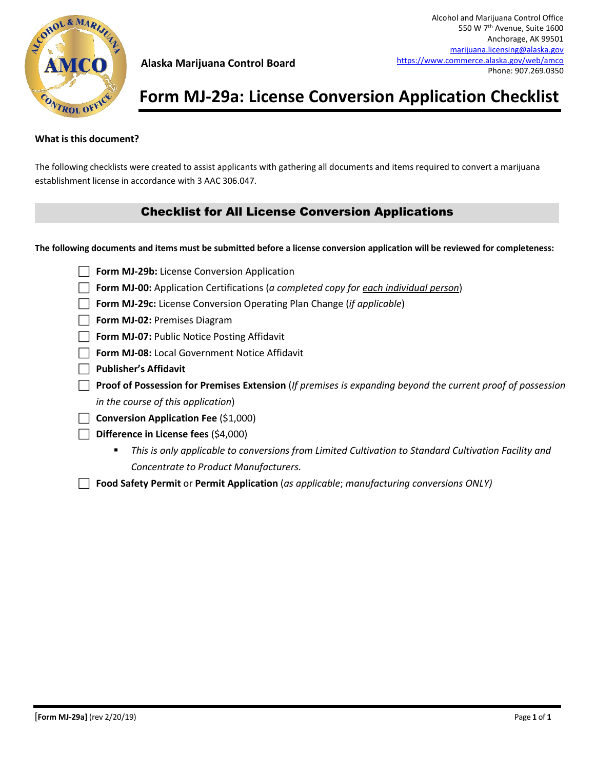

# **Form MJ-29a: License Conversion Application Checklist**

### **What isthis document?**

The following checklists were created to assist applicants with gathering all documents and items required to convert a marijuana establishment license in accordance with 3 AAC 306.047.

### Checklist for All License Conversion Applications

**The following documents and items must be submitted before a license conversion application will be reviewed for completeness:**

| $\Box$ Form MJ-29b: License Conversion Application                                            |  |
|-----------------------------------------------------------------------------------------------|--|
| <b>T</b> Form MJ-00: Application Certifications (a completed copy for each individual person) |  |

- **Form MJ-29c:** License Conversion Operating Plan Change (*if applicable*)
- **Form MJ-02: Premises Diagram**
- **Form MJ-07: Public Notice Posting Affidavit**
- **Form MJ-08:** Local Government Notice Affidavit
- **Publisher's Affidavit**
- **Proof of Possession for Premises Extension** (*If premises is expanding beyond the current proof of possession in the course of this application*)
- **Conversion Application Fee** (\$1,000)
- **Difference in License fees** (\$4,000)
	- *This is only applicable to conversions from Limited Cultivation to Standard Cultivation Facility and Concentrate to Product Manufacturers.*
- **Food Safety Permit** or **Permit Application** (*as applicable*; *manufacturing conversions ONLY)*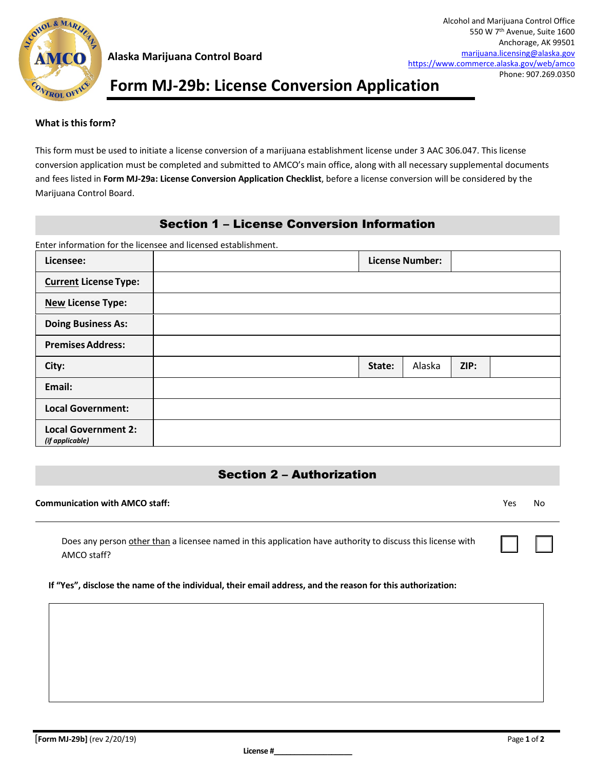

# **Form MJ-29b: License Conversion Application**

#### **What isthisform?**

This form must be used to initiate a license conversion of a marijuana establishment license under 3 AAC 306.047. This license conversion application must be completed and submitted to AMCO's main office, along with all necessary supplemental documents and fees listed in **Form MJ-29a: License Conversion Application Checklist**, before a license conversion will be considered by the Marijuana Control Board.

### Section 1 – License Conversion Information

Enter information for the licensee and licensed establishment.

| Licensee:                                     |        | <b>License Number:</b> |      |  |
|-----------------------------------------------|--------|------------------------|------|--|
| <b>Current License Type:</b>                  |        |                        |      |  |
| <b>New License Type:</b>                      |        |                        |      |  |
| <b>Doing Business As:</b>                     |        |                        |      |  |
| <b>Premises Address:</b>                      |        |                        |      |  |
| City:                                         | State: | Alaska                 | ZIP: |  |
| Email:                                        |        |                        |      |  |
| <b>Local Government:</b>                      |        |                        |      |  |
| <b>Local Government 2:</b><br>(if applicable) |        |                        |      |  |

### Section 2 – Authorization

#### **Communication with AMCO staff:** Yes No

☐ ☐

| Does any person other than a licensee named in this application have authority to discuss this license with |  |
|-------------------------------------------------------------------------------------------------------------|--|
| AMCO staff?                                                                                                 |  |

#### **If "Yes", disclose the name of the individual, their email address, and the reason for this authorization:**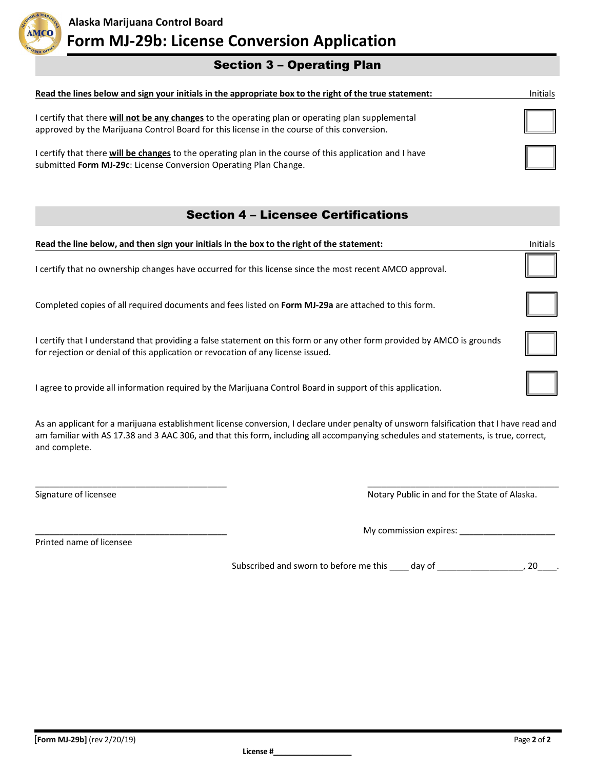

# Section 3 – Operating Plan

| Read the lines below and sign your initials in the appropriate box to the right of the true statement:                                                                                          | Initials |
|-------------------------------------------------------------------------------------------------------------------------------------------------------------------------------------------------|----------|
| I certify that there will not be any changes to the operating plan or operating plan supplemental<br>approved by the Marijuana Control Board for this license in the course of this conversion. |          |
| I certify that there will be changes to the operating plan in the course of this application and I have<br>submitted Form MJ-29c: License Conversion Operating Plan Change.                     |          |

## Section 4 – Licensee Certifications

| Read the line below, and then sign your initials in the box to the right of the statement:                                                                                                                  | <b>Initials</b> |
|-------------------------------------------------------------------------------------------------------------------------------------------------------------------------------------------------------------|-----------------|
| I certify that no ownership changes have occurred for this license since the most recent AMCO approval.                                                                                                     |                 |
| Completed copies of all required documents and fees listed on Form MJ-29a are attached to this form.                                                                                                        |                 |
| I certify that I understand that providing a false statement on this form or any other form provided by AMCO is grounds<br>for rejection or denial of this application or revocation of any license issued. |                 |
| I agree to provide all information required by the Marijuana Control Board in support of this application.                                                                                                  |                 |
|                                                                                                                                                                                                             |                 |

As an applicant for a marijuana establishment license conversion, I declare under penalty of unsworn falsification that I have read and am familiar with AS 17.38 and 3 AAC 306, and that this form, including all accompanying schedules and statements, is true, correct, and complete.

\_\_\_\_\_\_\_\_\_\_\_\_\_\_\_\_\_\_\_\_\_\_\_\_\_\_\_\_\_\_\_\_\_\_\_\_\_\_\_\_ \_\_\_\_\_\_\_\_\_\_\_\_\_\_\_\_\_\_\_\_\_\_\_\_\_\_\_\_\_\_\_\_\_\_\_\_\_\_\_\_

Signature of licensee Notary Public in and for the State of Alaska.

Printed name of licensee

\_\_\_\_\_\_\_\_\_\_\_\_\_\_\_\_\_\_\_\_\_\_\_\_\_\_\_\_\_\_\_\_\_\_\_\_\_\_\_\_ My commission expires: \_\_\_\_\_\_\_\_\_\_\_\_\_\_\_\_\_\_\_\_

Subscribed and sworn to before me this \_\_\_\_ day of \_\_\_\_\_\_\_\_\_\_\_\_\_\_\_\_\_\_, 20\_\_\_\_.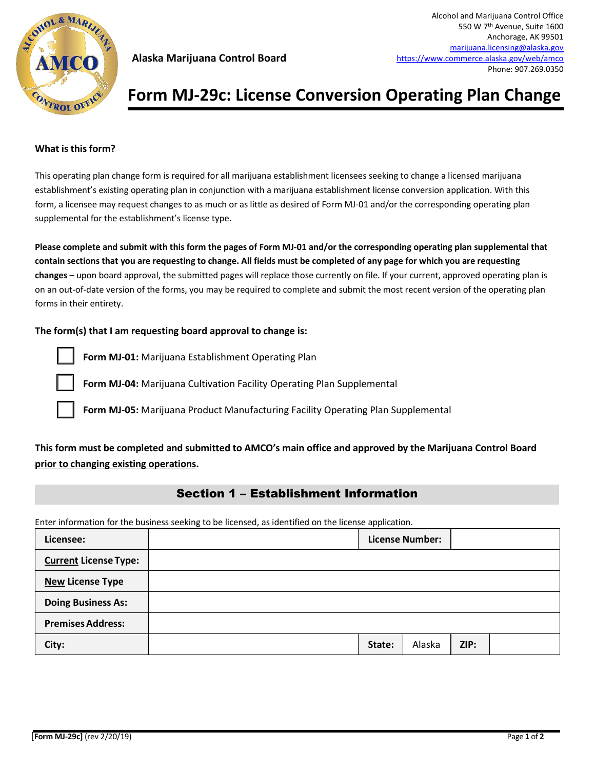

# **Form MJ-29c: License Conversion Operating Plan Change**

#### **What isthisform?**

This operating plan change form is required for all marijuana establishment licensees seeking to change a licensed marijuana establishment's existing operating plan in conjunction with a marijuana establishment license conversion application. With this form, a licensee may request changes to as much or as little as desired of Form MJ-01 and/or the corresponding operating plan supplemental for the establishment's license type.

**Please complete and submit with this form the pages of Form MJ-01 and/or the corresponding operating plan supplemental that contain sections that you are requesting to change. All fields must be completed of any page for which you are requesting changes** – upon board approval, the submitted pages will replace those currently on file. If your current, approved operating plan is on an out-of-date version of the forms, you may be required to complete and submit the most recent version of the operating plan forms in their entirety.

#### **The form(s) that I am requesting board approval to change is:**



**Form MJ-01:** Marijuana Establishment Operating Plan

**Form MJ-04:** Marijuana Cultivation Facility Operating Plan Supplemental

**Form MJ-05:** Marijuana Product Manufacturing Facility Operating Plan Supplemental

### **This form must be completed and submitted to AMCO's main office and approved by the Marijuana Control Board prior to changing existing operations.**

### Section 1 – Establishment Information

Enter information for the business seeking to be licensed, as identified on the license application.

| Licensee:                    |        | <b>License Number:</b> |      |  |
|------------------------------|--------|------------------------|------|--|
| <b>Current License Type:</b> |        |                        |      |  |
| <b>New License Type</b>      |        |                        |      |  |
| <b>Doing Business As:</b>    |        |                        |      |  |
| <b>Premises Address:</b>     |        |                        |      |  |
| City:                        | State: | Alaska                 | ZIP: |  |